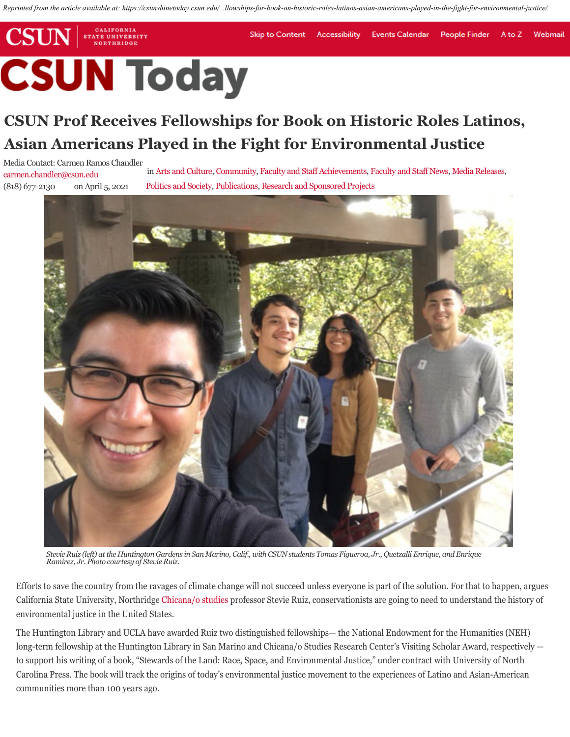*Reprinted from the article available at: https://csunshinetoday.csun.edu/...llowships-for-book-on-historic-roles-latinos-asian-americans-played-in-the-fight-for-environmental-justice/*

**Skip to Content** 

## **CSUN** NORTHRIDGE **CSUN Today**

CALIFORNIA

**STATE UNIVERSITY** 

## **CSUN Prof Receives Fellowships for Book on Historic Roles Latinos, Asian Americans Played in the Fight for Environmental Justice**

Media Contact: Carmen Ramos Chandler carmen.chandler@csun.edu (818) 677-2130 on April 5, 2021

in Arts and Culture, Community, Faculty and Staff Achievements, Faculty and Staff News, Media Releases, Politics and Society, Publications, Research and Sponsored Projects

Accessibility

**Events Calendar** 

**People Finder** 

A to  $7$ 

Webmail



*Stevie Ruiz (left) at the Huntington Gardens in San Marino, Calif., with CSUN students Tomas Figueroa, Jr., Quetzalli Enrique, and Enrique Ramirez, Jr. Photo courtesy of Stevie Ruiz.*

Efforts to save the country from the ravages of climate change will not succeed unless everyone is part of the solution. For that to happen, argues California State University, Northridge Chicana/o studies professor Stevie Ruiz, conservationists are going to need to understand the history of environmental justice in the United States.

The Huntington Library and UCLA have awarded Ruiz two distinguished fellowships— the National Endowment for the Humanities (NEH) long-term fellowship at the Huntington Library in San Marino and Chicana/o Studies Research Center's Visiting Scholar Award, respectively to support his writing of a book, "Stewards of the Land: Race, Space, and Environmental Justice," under contract with University of North Carolina Press. The book will track the origins of today's environmental justice movement to the experiences of Latino and Asian-American communities more than 100 years ago.